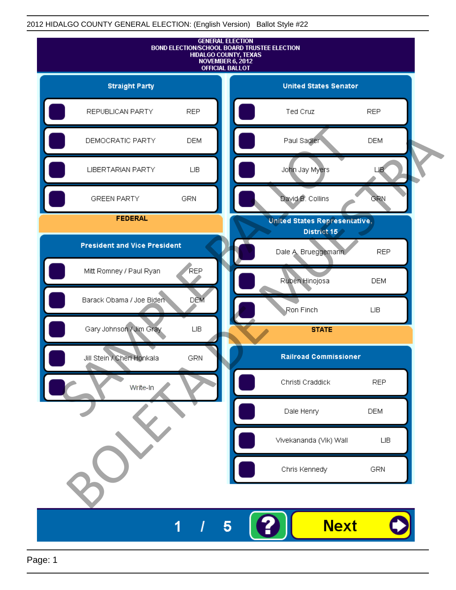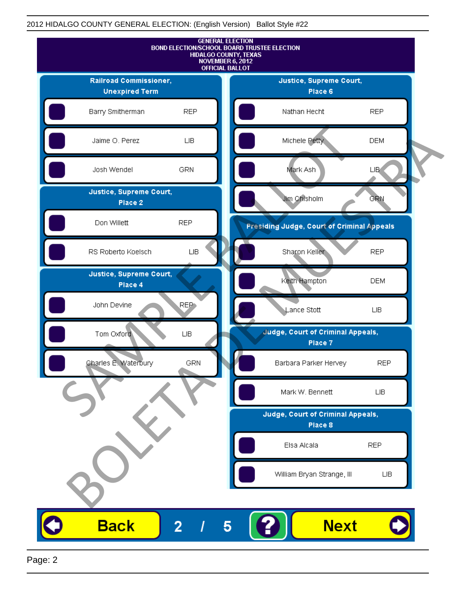

Page: 2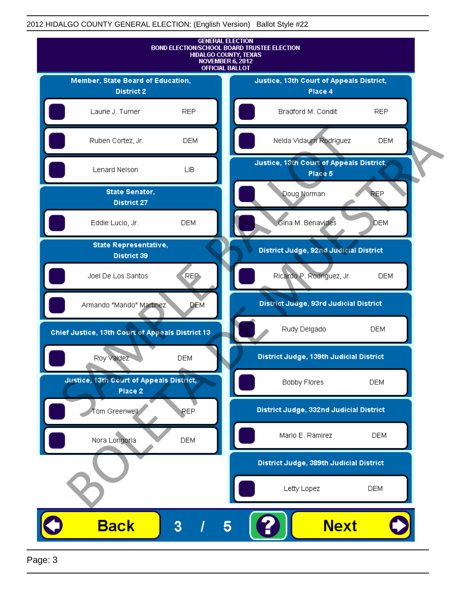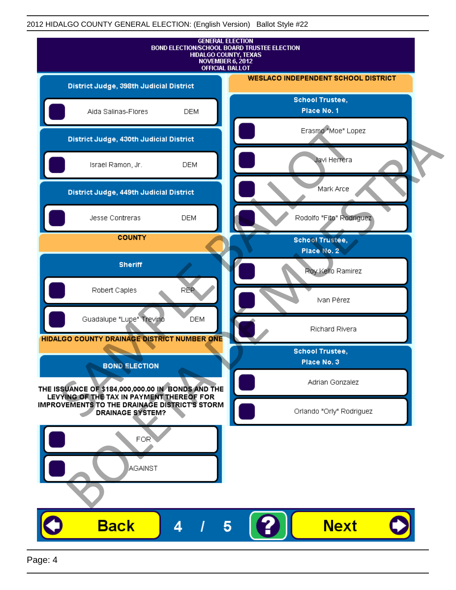![](_page_3_Figure_1.jpeg)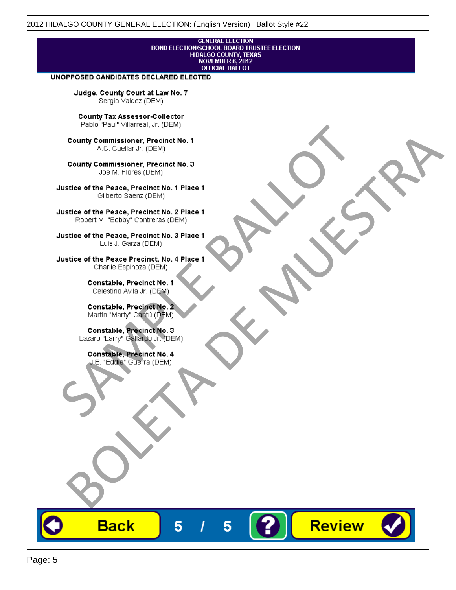## **GENERAL ELECTION** BOND ELECTION/SCHOOL BOARD TRUSTEE ELECTION<br>HIDALGO COUNTY, TEXAS<br>NOVEMBER 6, 2012 **OFFICIAL BALLOT**

Review

#### UNOPPOSED CANDIDATES DECLARED ELECTED

Judge, County Court at Law No. 7 Sergio Valdez (DEM)

County Tax Assessor-Collector

Fall Paul Visitera, Precinct No. 1<br>
County Commissioner, Precinct No. 1<br>
SAC. Cutellar JF: (DEM)<br>
County Commissioner, Precinct No. 2<br>
Ulattice of the Peace, Precinct No. 2 Place 1<br>
Counter M. "Bobby" Contrers (DEM)<br>
Ulatt County Commissioner, Precinct No. 1<br>
Accounts: A County Commissioner, Precinct No. 3<br>
Use of the Peace, Precinct No. 1<br>
Siste of the Peace, Precinct No. 1<br>
There is a control of the County Commission (DEM)<br>
There is a cont

**Back** 

5

5

![](_page_4_Picture_15.jpeg)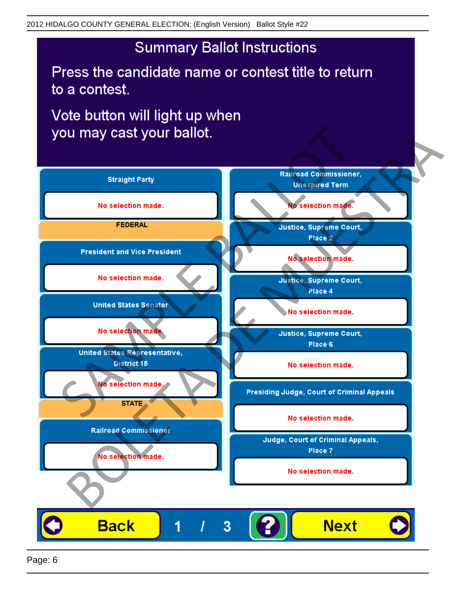# **Summary Ballot Instructions**

Press the candidate name or contest title to return to a contest.

Vote button will light up when

![](_page_5_Figure_4.jpeg)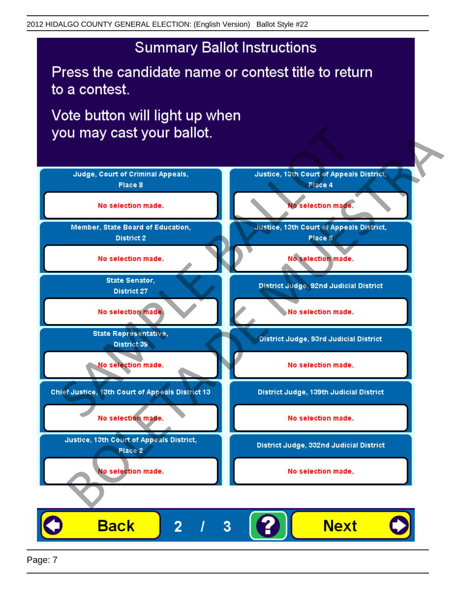# **Summary Ballot Instructions**

Press the candidate name or contest title to return to a contest.

Vote button will light up when

![](_page_6_Figure_4.jpeg)